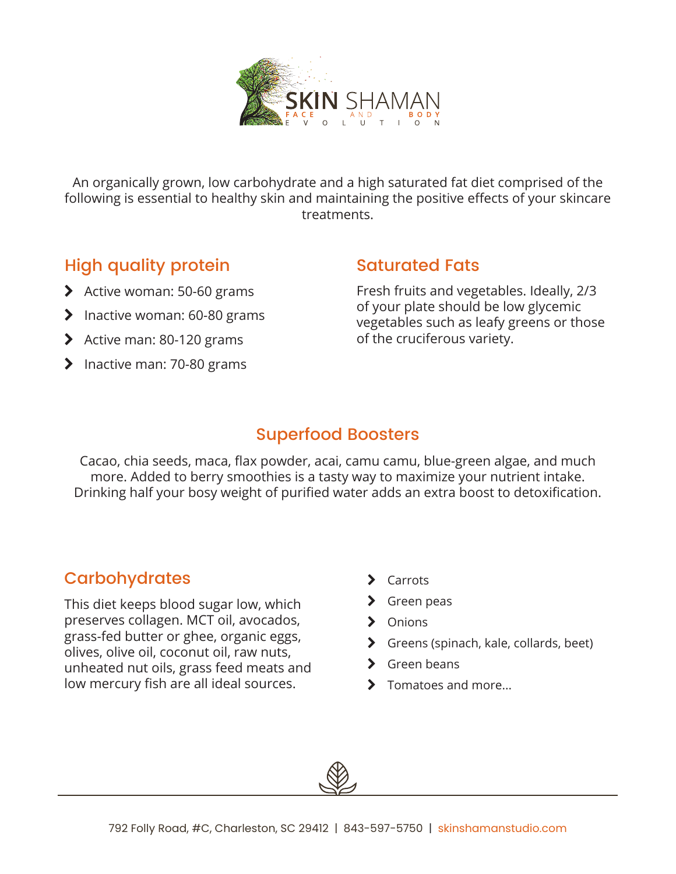

An organically grown, low carbohydrate and a high saturated fat diet comprised of the following is essential to healthy skin and maintaining the positive effects of your skincare treatments.

# High quality protein

- $\blacktriangleright$  Active woman: 50-60 grams
- $\blacktriangleright$  Inactive woman: 60-80 grams
- $\blacktriangleright$  Active man: 80-120 grams
- $\blacktriangleright$  Inactive man: 70-80 grams

#### Saturated Fats

Fresh fruits and vegetables. Ideally, 2/3 of your plate should be low glycemic vegetables such as leafy greens or those of the cruciferous variety.

## Superfood Boosters

Cacao, chia seeds, maca, flax powder, acai, camu camu, blue-green algae, and much more. Added to berry smoothies is a tasty way to maximize your nutrient intake. Drinking half your bosy weight of purified water adds an extra boost to detoxification.

## **Carbohydrates**

This diet keeps blood sugar low, which preserves collagen. MCT oil, avocados, grass-fed butter or ghee, organic eggs, olives, olive oil, coconut oil, raw nuts, unheated nut oils, grass feed meats and low mercury fish are all ideal sources.

- > Carrots
- > Green peas
- > Onions
- S Greens (spinach, kale, collards, beet)
- > Green beans
- $\blacktriangleright$  Tomatoes and more...